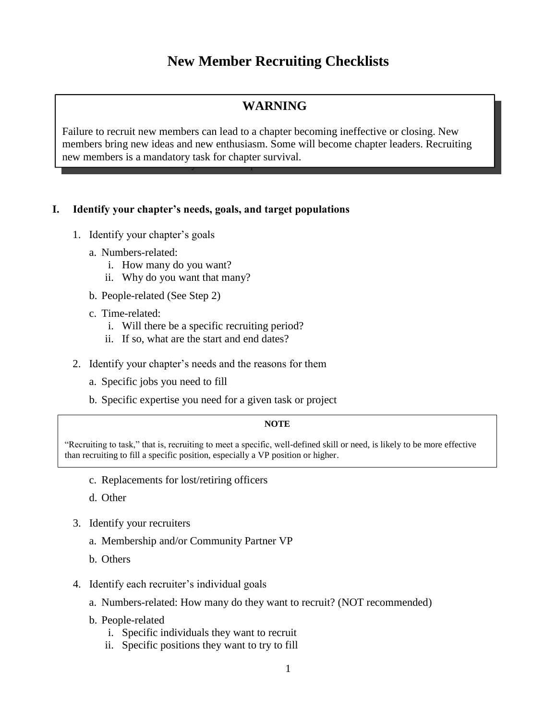# **New Member Recruiting Checklists**

## **WARNING**

Failure to recruit new members can lead to a chapter becoming ineffective or closing. New members bring new ideas and new enthusiasm. Some will become chapter leaders. Recruiting new members is a mandatory task for chapter survival.

### **I. Identify your chapter's needs, goals, and target populations**

- 1. Identify your chapter's goals
	- a. Numbers-related:
		- i. How many do you want?
		- ii. Why do you want that many?
	- b. People-related (See Step 2)
	- c. Time-related:
		- i. Will there be a specific recruiting period?
		- ii. If so, what are the start and end dates?
- 2. Identify your chapter's needs and the reasons for them
	- a. Specific jobs you need to fill
	- b. Specific expertise you need for a given task or project

#### **NOTE**

"Recruiting to task," that is, recruiting to meet a specific, well-defined skill or need, is likely to be more effective than recruiting to fill a specific position, especially a VP position or higher.

- c. Replacements for lost/retiring officers
- d. Other
- 3. Identify your recruiters
	- a. Membership and/or Community Partner VP
	- b. Others
- 4. Identify each recruiter's individual goals
	- a. Numbers-related: How many do they want to recruit? (NOT recommended)
	- b. People-related
		- i. Specific individuals they want to recruit
		- ii. Specific positions they want to try to fill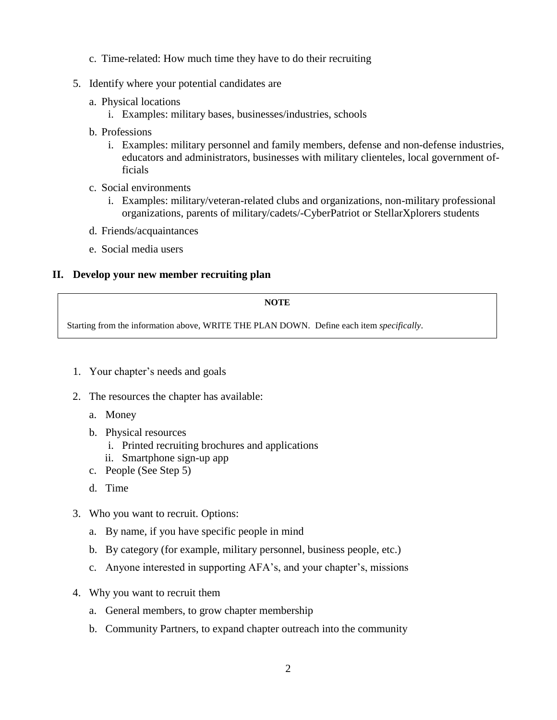- c. Time-related: How much time they have to do their recruiting
- 5. Identify where your potential candidates are
	- a. Physical locations
		- i. Examples: military bases, businesses/industries, schools
	- b. Professions
		- i. Examples: military personnel and family members, defense and non-defense industries, educators and administrators, businesses with military clienteles, local government officials
	- c. Social environments
		- i. Examples: military/veteran-related clubs and organizations, non-military professional organizations, parents of military/cadets/-CyberPatriot or StellarXplorers students
	- d. Friends/acquaintances
	- e. Social media users

#### **II. Develop your new member recruiting plan**

#### **NOTE**

Starting from the information above, WRITE THE PLAN DOWN. Define each item *specifically*.

- 1. Your chapter's needs and goals
- 2. The resources the chapter has available:
	- a. Money
	- b. Physical resources
		- i. Printed recruiting brochures and applications
		- ii. Smartphone sign-up app
	- c. People (See Step 5)
	- d. Time
- 3. Who you want to recruit. Options:
	- a. By name, if you have specific people in mind
	- b. By category (for example, military personnel, business people, etc.)
	- c. Anyone interested in supporting AFA's, and your chapter's, missions
- 4. Why you want to recruit them
	- a. General members, to grow chapter membership
	- b. Community Partners, to expand chapter outreach into the community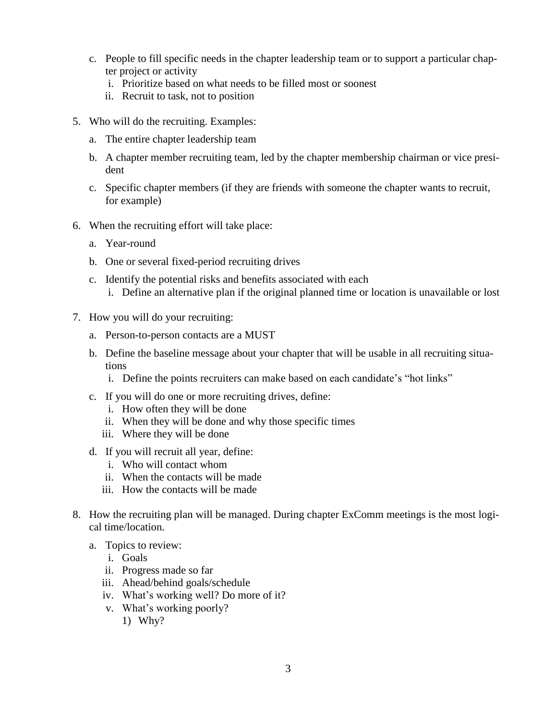- c. People to fill specific needs in the chapter leadership team or to support a particular chapter project or activity
	- i. Prioritize based on what needs to be filled most or soonest
	- ii. Recruit to task, not to position
- 5. Who will do the recruiting. Examples:
	- a. The entire chapter leadership team
	- b. A chapter member recruiting team, led by the chapter membership chairman or vice president
	- c. Specific chapter members (if they are friends with someone the chapter wants to recruit, for example)
- 6. When the recruiting effort will take place:
	- a. Year-round
	- b. One or several fixed-period recruiting drives
	- c. Identify the potential risks and benefits associated with each i. Define an alternative plan if the original planned time or location is unavailable or lost
- 7. How you will do your recruiting:
	- a. Person-to-person contacts are a MUST
	- b. Define the baseline message about your chapter that will be usable in all recruiting situations
		- i. Define the points recruiters can make based on each candidate's "hot links"
	- c. If you will do one or more recruiting drives, define:
		- i. How often they will be done
		- ii. When they will be done and why those specific times
		- iii. Where they will be done
	- d. If you will recruit all year, define:
		- i. Who will contact whom
		- ii. When the contacts will be made
		- iii. How the contacts will be made
- 8. How the recruiting plan will be managed. During chapter ExComm meetings is the most logical time/location.
	- a. Topics to review:
		- i. Goals
		- ii. Progress made so far
		- iii. Ahead/behind goals/schedule
		- iv. What's working well? Do more of it?
		- v. What's working poorly?
			- 1) Why?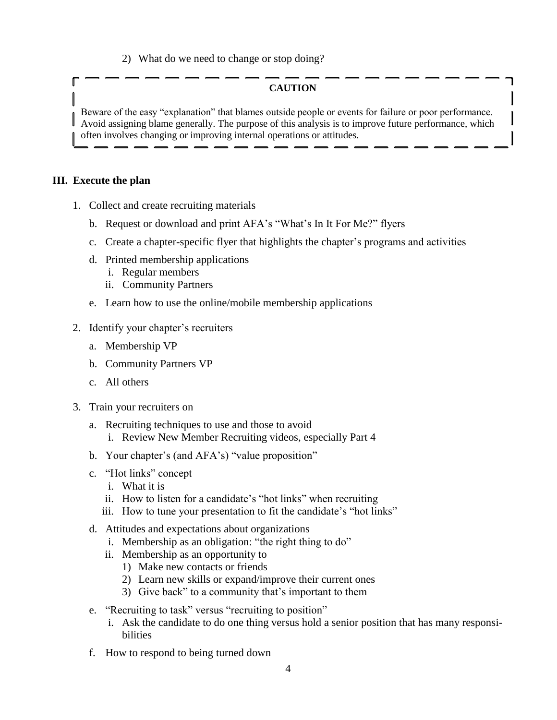2) What do we need to change or stop doing?

### **CAUTION**

Beware of the easy "explanation" that blames outside people or events for failure or poor performance. Avoid assigning blame generally. The purpose of this analysis is to improve future performance, which often involves changing or improving internal operations or attitudes.

#### **III. Execute the plan**

- 1. Collect and create recruiting materials
	- b. Request or download and print AFA's "What's In It For Me?" flyers
	- c. Create a chapter-specific flyer that highlights the chapter's programs and activities
	- d. Printed membership applications
		- i. Regular members
		- ii. Community Partners
	- e. Learn how to use the online/mobile membership applications
- 2. Identify your chapter's recruiters
	- a. Membership VP
	- b. Community Partners VP
	- c. All others
- 3. Train your recruiters on
	- a. Recruiting techniques to use and those to avoid i. Review New Member Recruiting videos, especially Part 4
	- b. Your chapter's (and AFA's) "value proposition"
	- c. "Hot links" concept
		- i. What it is
		- ii. How to listen for a candidate's "hot links" when recruiting
		- iii. How to tune your presentation to fit the candidate's "hot links"
	- d. Attitudes and expectations about organizations
		- i. Membership as an obligation: "the right thing to do"
		- ii. Membership as an opportunity to
			- 1) Make new contacts or friends
			- 2) Learn new skills or expand/improve their current ones
			- 3) Give back" to a community that's important to them
	- e. "Recruiting to task" versus "recruiting to position"
		- i. Ask the candidate to do one thing versus hold a senior position that has many responsibilities
	- f. How to respond to being turned down